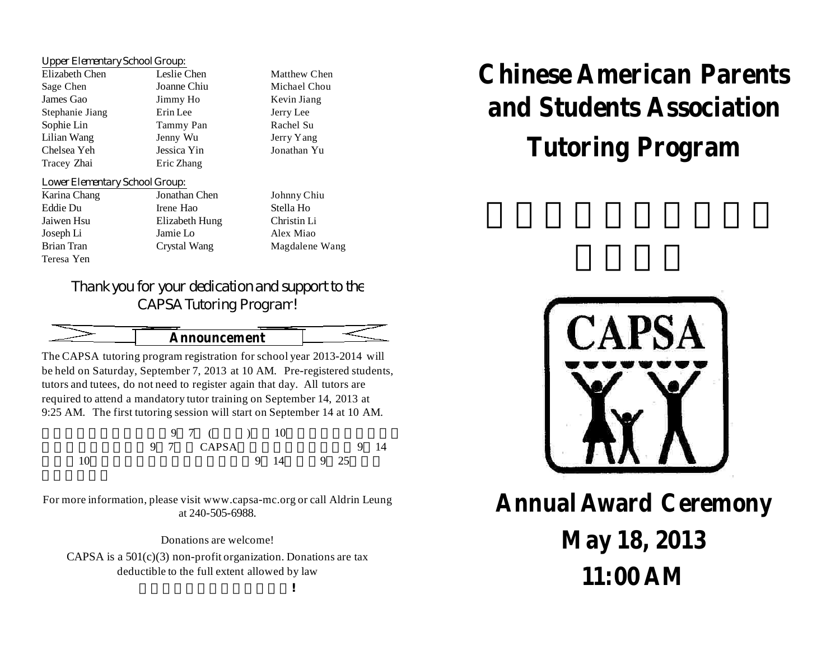## *Upper Elementary School Group:*

| Elizabeth Chen  | Leslie Che  |
|-----------------|-------------|
| Sage Chen       | Joanne Chi  |
| James Gao       | Jimmy Ho    |
| Stephanie Jiang | Erin Lee    |
| Sophie Lin      | Tammy Pa    |
| Lilian Wang     | Jenny Wu    |
| Chelsea Yeh     | Jessica Yir |
| Tracey Zhai     | Eric Zhang  |
|                 |             |

## *Lower Elementary School Group:*

| Karina Chang | Jonathan Che |
|--------------|--------------|
| Eddie Du     | Irene Hao    |
| Jaiwen Hsu   | Elizabeth Hu |
| Joseph Li    | Jamie Lo     |
| Brian Tran   | Crystal Wang |
| Teresa Yen   |              |

en Matthew Chen  $S<sub>1</sub>$  Michael Chou Kevin Jiang Jerry Lee an Rachel Su Jerry Yang Chelsea Yeh Jessica Yin Jonathan Yu

en Johnny Chiu Stella Ho Ing Christin Li Alex Miao g Magdalene Wang

## *Thank you for your dedication and support to the CAPSA Tutoring Program!*

$$
\underbrace{\hspace{2.5cm}}_{\text{1}}\qquad \qquad \text{1}}\qquad \qquad \underbrace{\hspace{2.5cm}}_{\text{1}}\qquad \qquad \underbrace{\hspace{2.5cm}}_{\text{2}}\qquad \qquad \underbrace{\hspace{2.5cm}}_{\text{2}}\qquad \qquad \underbrace{\hspace{2.5cm}}_{\text{3}}\qquad \qquad \underbrace{\hspace{2.5cm}}_{\text{3}}\qquad \qquad \underbrace{\hspace{2.5cm}}_{\text{4}}\qquad \qquad \underbrace{\hspace{2.5cm}}_{\text{5}}\qquad \qquad \underbrace{\hspace{2.5cm}}_{\text{6}}\qquad \qquad \underbrace{\hspace{2.5cm}}_{\text{6}}\qquad \qquad \underbrace{\hspace{2.5cm}}_{\text{7}}\qquad \qquad \underbrace{\hspace{2.5cm}}_{\text{8}}\qquad \qquad \underbrace{\hspace{2.5cm}}_{\text{9}}\qquad \qquad \underbrace{\hspace{2.5cm}}_{\text{1}}\qquad \qquad \underbrace{\hspace{2.5cm}}_{\text{1}}\qquad \qquad \underbrace{\hspace{2.5cm}}_{\text{1}}\qquad \qquad \underbrace{\hspace{2.5cm}}_{\text{1}}\qquad \qquad \underbrace{\hspace{2.5cm}}_{\text{1}}\qquad \qquad \underbrace{\hspace{2.5cm}}_{\text{2}}\qquad \qquad \underbrace{\hspace{2.5cm}}_{\text{3}}\qquad \qquad \underbrace{\hspace{2.5cm}}_{\text{5}}\qquad \qquad \underbrace{\hspace{2.5cm}}_{\text{5}}\qquad \qquad \underbrace{\hspace{2.5cm}}_{\text{6}}\qquad \qquad \underbrace{\hspace{2.5cm}}_{\text{5}}\qquad \qquad \underbrace{\hspace{2.5cm}}_{\text{6}}\qquad \qquad \underbrace{\hspace{2.5cm}}_{\text{7}}\qquad \qquad \underbrace{\hspace{2.5cm}}_{\text{8}}\qquad \qquad \underbrace{\hspace{2.5cm}}_{\text{9}}\qquad \qquad \underbrace{\hspace{2.5cm}}_{\text{1}}\qquad \qquad \underbrace{\hspace{2.5cm}}_{\text{1}}\qquad \qquad \underbrace{\hspace{2.5cm}}_{\text{1}}\qquad \qquad \underbrace{\hs
$$

The CAPSA tutoring program registration for school year 2013-2014 will be held on Saturday, September 7, 2013 at 10 AM. Pre-registered students, tutors and tutees, do not need to register again that day. All tutors are required to attend a mandatory tutor training on September 14, 2013 at 9:25 AM. The first tutoring session will start on September 14 at 10 AM.

|    |  | 9 7 ( ) 10 |  |           |  |      |
|----|--|------------|--|-----------|--|------|
|    |  | 9 7 CAPSA  |  |           |  | 9 14 |
| 10 |  |            |  | 9 14 9 25 |  |      |

For more information, please visit www.capsa-mc.org or call Aldrin Leung at 240-505-6988.

Donations are welcome! CAPSA is a  $501(c)(3)$  non-profit organization. Donations are tax deductible to the full extent allowed by law

## **Chinese American Parents and Students Association Tutoring Program**



**Annual Award Ceremony May 18, 2013 11:00 AM**